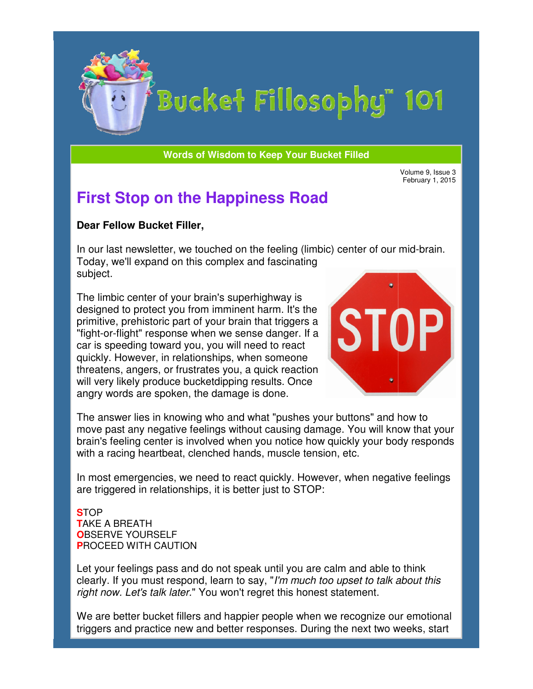

# Bucket Fillosophy" 101

**Words of Wisdom to Keep Your Bucket Filled Wisdom** 

February 1, 2015

# **First Stop on the Happiness Road**

### **Dear Fellow Bucket Filler Filler,**

In our last newsletter, we touched on the feeling (limbic) center of our mid-brain. Today, we'll expand on this complex and fascinating subject.

The limbic center of your brain's superhighway is designed to protect you from imminent harm. It's the primitive, prehistoric part of your brain that triggers a "fight-or-flight" response when we sense danger. If a car is speeding toward you, you will need to react quickly. However, in relationships, when someone threatens, angers, or frustrates you, a quick reaction will very likely produce bucketdipping results. Once angry words are spoken, the damage is done. quickly. However, in relationships, when someone<br>threatens, angers, or frustrates you, a quick reaction<br>will very likely produce bucketdipping results. Once<br>angry words are spoken, the damage is done.<br>The answer lies in kn In our last newsletter, we touched on the feeling (limbic) center<br>Today, we'll expand on this complex and fascinating<br>subject.<br>The limbic center of your brain's superhighway is<br>designed to protect you from imminent harm. I **Stop on the Happiness Road**<br> **Example 3, these stead and the model of the state of the state of the state state state state state state state state of your brains superhighway is<br>
are all expand on this complex and fascin** 



move past any negative feelings without causing damage. You will know that your brain's feeling center is involved when you notice how quickly your body responds with a racing heartbeat, clenched hands, muscle tension, etc. move past any negative feelings without causing damage. Yoı<br>brain's feeling center is involved when you notice how quickly<br>with a racing heartbeat, clenched hands, muscle tension, etc. ushes your buttons" and how to<br>sing damage. You will know tha<br>otice how quickly your body resp<br>scle tension, etc.<br>kly. However, when negative fee<br>to STOP:<br><br>l you are calm and able to think

In most emergencies, we need to react quickly. However, when negative feelings are triggered in relationships, it is better just to STOP: In most emergencies, we need to react quickly. However, when negative fee<br>are triggered in relationships, it is better just to STOP:<br>**STOP<br>CARTANG A BREATH**<br>**OBSERVE YOURSELF**<br>PROCEED WITH CAUTION<br>Let your feelings pass an

#### **S**TOP **T**AKE A BREATH **O**BSERVE YOURSELF **P**ROCEED WITH CAUTION

Let your feelings pass and do not speak until you are calm and able to think clearly. If you must respond, learn to say, "I'm much too upset to talk about this right now. Let's talk later." You won't regret this honest statement.

*right now. Let's talk later.*" You won't regret this honest statement.<br>We are better bucket fillers and happier people when we recognize our emotional triggers and practice new and better responses. During the next two weeks, start